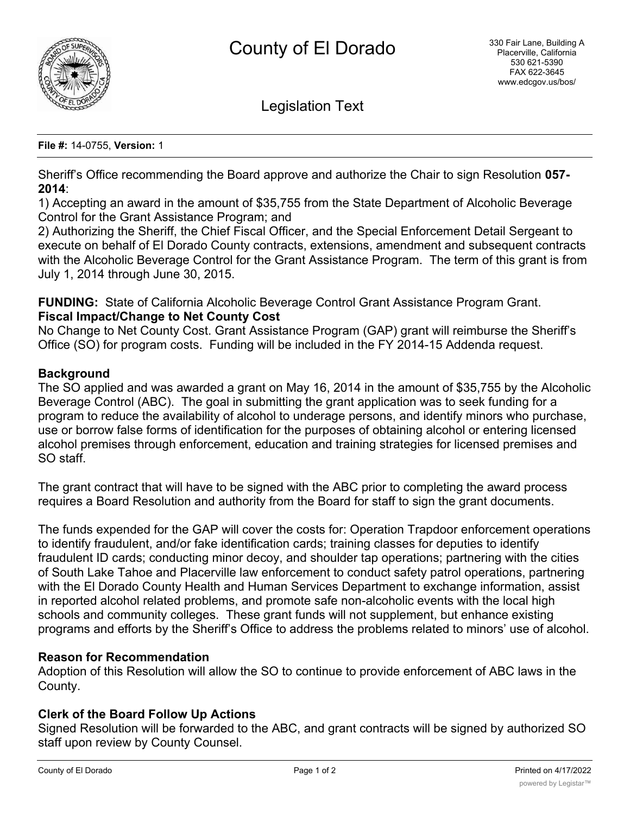

Legislation Text

#### **File #:** 14-0755, **Version:** 1

Sheriff's Office recommending the Board approve and authorize the Chair to sign Resolution **057- 2014**:

1) Accepting an award in the amount of \$35,755 from the State Department of Alcoholic Beverage Control for the Grant Assistance Program; and

2) Authorizing the Sheriff, the Chief Fiscal Officer, and the Special Enforcement Detail Sergeant to execute on behalf of El Dorado County contracts, extensions, amendment and subsequent contracts with the Alcoholic Beverage Control for the Grant Assistance Program. The term of this grant is from July 1, 2014 through June 30, 2015.

**FUNDING:** State of California Alcoholic Beverage Control Grant Assistance Program Grant. **Fiscal Impact/Change to Net County Cost**

No Change to Net County Cost. Grant Assistance Program (GAP) grant will reimburse the Sheriff's Office (SO) for program costs. Funding will be included in the FY 2014-15 Addenda request.

### **Background**

The SO applied and was awarded a grant on May 16, 2014 in the amount of \$35,755 by the Alcoholic Beverage Control (ABC). The goal in submitting the grant application was to seek funding for a program to reduce the availability of alcohol to underage persons, and identify minors who purchase, use or borrow false forms of identification for the purposes of obtaining alcohol or entering licensed alcohol premises through enforcement, education and training strategies for licensed premises and SO staff.

The grant contract that will have to be signed with the ABC prior to completing the award process requires a Board Resolution and authority from the Board for staff to sign the grant documents.

The funds expended for the GAP will cover the costs for: Operation Trapdoor enforcement operations to identify fraudulent, and/or fake identification cards; training classes for deputies to identify fraudulent ID cards; conducting minor decoy, and shoulder tap operations; partnering with the cities of South Lake Tahoe and Placerville law enforcement to conduct safety patrol operations, partnering with the El Dorado County Health and Human Services Department to exchange information, assist in reported alcohol related problems, and promote safe non-alcoholic events with the local high schools and community colleges. These grant funds will not supplement, but enhance existing programs and efforts by the Sheriff's Office to address the problems related to minors' use of alcohol.

#### **Reason for Recommendation**

Adoption of this Resolution will allow the SO to continue to provide enforcement of ABC laws in the County.

## **Clerk of the Board Follow Up Actions**

Signed Resolution will be forwarded to the ABC, and grant contracts will be signed by authorized SO staff upon review by County Counsel.